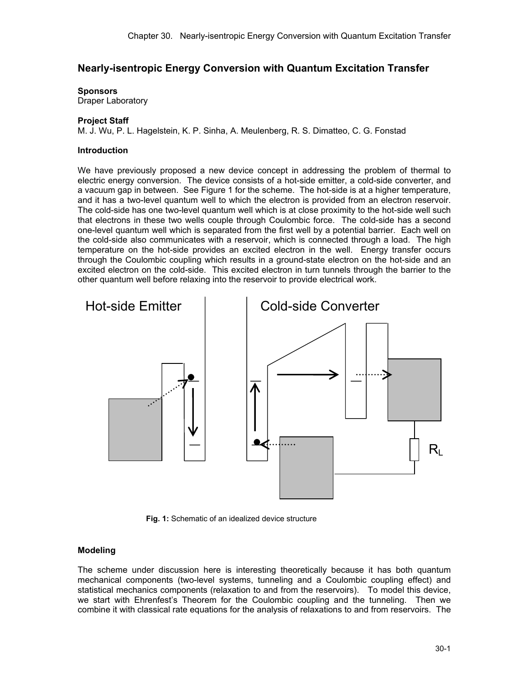# **Nearly-isentropic Energy Conversion with Quantum Excitation Transfer**

**Sponsors** 

Draper Laboratory

### **Project Staff**

M. J. Wu, P. L. Hagelstein, K. P. Sinha, A. Meulenberg, R. S. Dimatteo, C. G. Fonstad

### **Introduction**

We have previously proposed a new device concept in addressing the problem of thermal to electric energy conversion. The device consists of a hot-side emitter, a cold-side converter, and a vacuum gap in between. See Figure 1 for the scheme. The hot-side is at a higher temperature, and it has a two-level quantum well to which the electron is provided from an electron reservoir. The cold-side has one two-level quantum well which is at close proximity to the hot-side well such that electrons in these two wells couple through Coulombic force. The cold-side has a second one-level quantum well which is separated from the first well by a potential barrier. Each well on the cold-side also communicates with a reservoir, which is connected through a load. The high temperature on the hot-side provides an excited electron in the well. Energy transfer occurs through the Coulombic coupling which results in a ground-state electron on the hot-side and an excited electron on the cold-side. This excited electron in turn tunnels through the barrier to the other quantum well before relaxing into the reservoir to provide electrical work.



**Fig. 1:** Schematic of an idealized device structure

### **Modeling**

The scheme under discussion here is interesting theoretically because it has both quantum mechanical components (two-level systems, tunneling and a Coulombic coupling effect) and statistical mechanics components (relaxation to and from the reservoirs). To model this device, we start with Ehrenfest's Theorem for the Coulombic coupling and the tunneling. Then we combine it with classical rate equations for the analysis of relaxations to and from reservoirs. The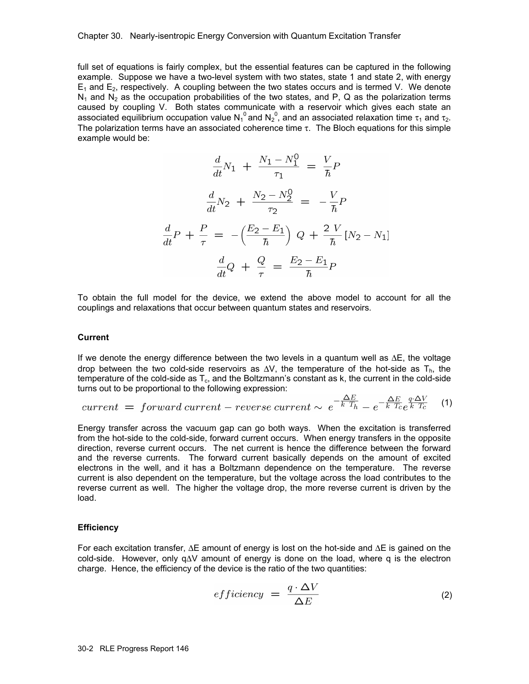full set of equations is fairly complex, but the essential features can be captured in the following example. Suppose we have a two-level system with two states, state 1 and state 2, with energy  $E_1$  and  $E_2$ , respectively. A coupling between the two states occurs and is termed V. We denote  $N_1$  and  $N_2$  as the occupation probabilities of the two states, and P, Q as the polarization terms caused by coupling V. Both states communicate with a reservoir which gives each state an associated equilibrium occupation value N<sub>1</sub><sup>0</sup> and N<sub>2</sub><sup>0</sup>, and an associated relaxation time  $\tau_1$  and  $\tau_2$ . The polarization terms have an associated coherence time  $\tau$ . The Bloch equations for this simple example would be:

$$
\frac{d}{dt}N_1 + \frac{N_1 - N_1^0}{\tau_1} = \frac{V}{\hbar}P
$$

$$
\frac{d}{dt}N_2 + \frac{N_2 - N_2^0}{\tau_2} = -\frac{V}{\hbar}P
$$

$$
\frac{d}{dt}P + \frac{P}{\tau} = -\left(\frac{E_2 - E_1}{\hbar}\right)Q + \frac{2 V}{\hbar}[N_2 - N_1]
$$

$$
\frac{d}{dt}Q + \frac{Q}{\tau} = \frac{E_2 - E_1}{\hbar}P
$$

To obtain the full model for the device, we extend the above model to account for all the couplings and relaxations that occur between quantum states and reservoirs.

### **Current**

If we denote the energy difference between the two levels in a quantum well as ∆E, the voltage drop between the two cold-side reservoirs as  $\Delta V$ , the temperature of the hot-side as T<sub>h</sub>, the temperature of the cold-side as  $T_c$ , and the Boltzmann's constant as k, the current in the cold-side turns out to be proportional to the following expression:  $\Delta E$ 

$$
current = forward current - reverse current \sim e^{-\frac{\Delta E}{k T_h}} - e^{-\frac{\Delta E}{k T_c}} e^{\frac{q \cdot \Delta V}{k T_c}}
$$
 (1)

Energy transfer across the vacuum gap can go both ways. When the excitation is transferred from the hot-side to the cold-side, forward current occurs. When energy transfers in the opposite direction, reverse current occurs. The net current is hence the difference between the forward and the reverse currents. The forward current basically depends on the amount of excited electrons in the well, and it has a Boltzmann dependence on the temperature. The reverse current is also dependent on the temperature, but the voltage across the load contributes to the reverse current as well. The higher the voltage drop, the more reverse current is driven by the load.

### **Efficiency**

For each excitation transfer, ∆E amount of energy is lost on the hot-side and ∆E is gained on the cold-side. However, only q∆V amount of energy is done on the load, where q is the electron charge. Hence, the efficiency of the device is the ratio of the two quantities:

$$
efficiency = \frac{q \cdot \Delta V}{\Delta E} \tag{2}
$$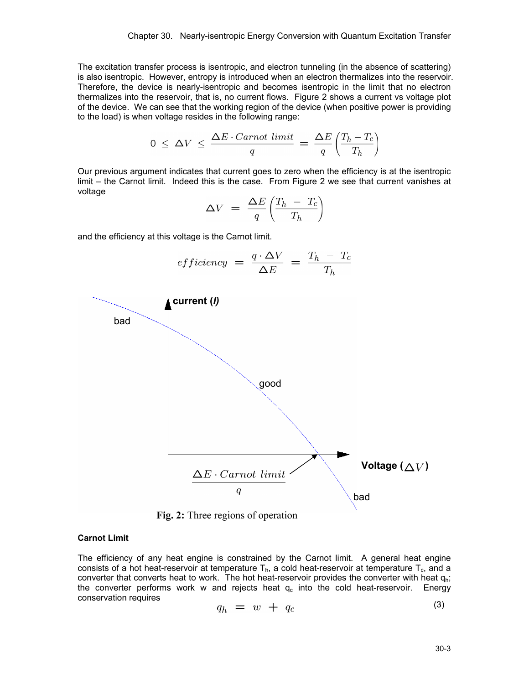The excitation transfer process is isentropic, and electron tunneling (in the absence of scattering) is also isentropic. However, entropy is introduced when an electron thermalizes into the reservoir. Therefore, the device is nearly-isentropic and becomes isentropic in the limit that no electron thermalizes into the reservoir, that is, no current flows. Figure 2 shows a current vs voltage plot of the device. We can see that the working region of the device (when positive power is providing to the load) is when voltage resides in the following range:

$$
0 \leq \Delta V \leq \frac{\Delta E \cdot Carnot \ limit}{q} = \frac{\Delta E}{q} \left(\frac{T_h - T_c}{T_h}\right)
$$

Our previous argument indicates that current goes to zero when the efficiency is at the isentropic limit – the Carnot limit. Indeed this is the case. From Figure 2 we see that current vanishes at voltage

$$
\Delta V = \frac{\Delta E}{q} \left( \frac{T_h - T_c}{T_h} \right)
$$

and the efficiency at this voltage is the Carnot limit.

$$
efficiency = \frac{q \cdot \Delta V}{\Delta E} = \frac{T_h - T_c}{T_h}
$$



**Fig. 2:** Three regions of operation

#### **Carnot Limit**

The efficiency of any heat engine is constrained by the Carnot limit. A general heat engine consists of a hot heat-reservoir at temperature  $T<sub>b</sub>$ , a cold heat-reservoir at temperature  $T<sub>c</sub>$ , and a converter that converts heat to work. The hot heat-reservoir provides the converter with heat  $q_{h}$ ; the converter performs work w and rejects heat  $q_c$  into the cold heat-reservoir. Energy conservation requires  $(3)$ 

$$
q_h = w + q_c \tag{3}
$$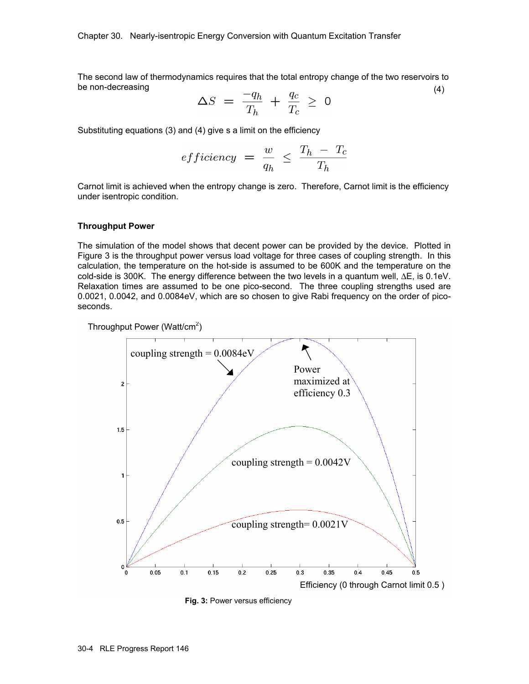The second law of thermodynamics requires that the total entropy change of the two reservoirs to be non-decreasing (4)

$$
\Delta S = \frac{-q_h}{T_h} + \frac{q_c}{T_c} \geq 0
$$

Substituting equations (3) and (4) give s a limit on the efficiency

*efficiency* = 
$$
\frac{w}{q_h}
$$
  $\leq \frac{T_h - T_c}{T_h}$ 

Carnot limit is achieved when the entropy change is zero. Therefore, Carnot limit is the efficiency under isentropic condition.

#### **Throughput Power**

The simulation of the model shows that decent power can be provided by the device. Plotted in Figure 3 is the throughput power versus load voltage for three cases of coupling strength. In this calculation, the temperature on the hot-side is assumed to be 600K and the temperature on the cold-side is 300K. The energy difference between the two levels in a quantum well, ∆E, is 0.1eV. Relaxation times are assumed to be one pico-second. The three coupling strengths used are 0.0021, 0.0042, and 0.0084eV, which are so chosen to give Rabi frequency on the order of picoseconds.

Throughput Power (Watt/cm<sup>2</sup>)



**Fig. 3:** Power versus efficiency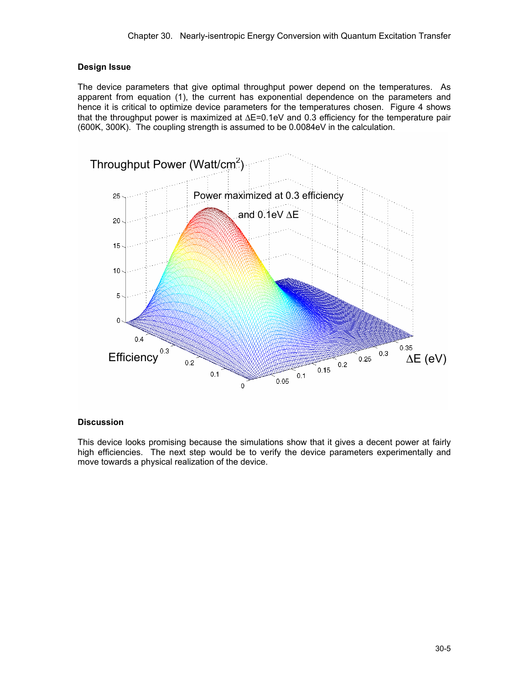## **Design Issue**

The device parameters that give optimal throughput power depend on the temperatures. As apparent from equation (1), the current has exponential dependence on the parameters and hence it is critical to optimize device parameters for the temperatures chosen. Figure 4 shows that the throughput power is maximized at ∆E=0.1eV and 0.3 efficiency for the temperature pair (600K, 300K). The coupling strength is assumed to be 0.0084eV in the calculation.



### **Discussion**

This device looks promising because the simulations show that it gives a decent power at fairly high efficiencies. The next step would be to verify the device parameters experimentally and move towards a physical realization of the device.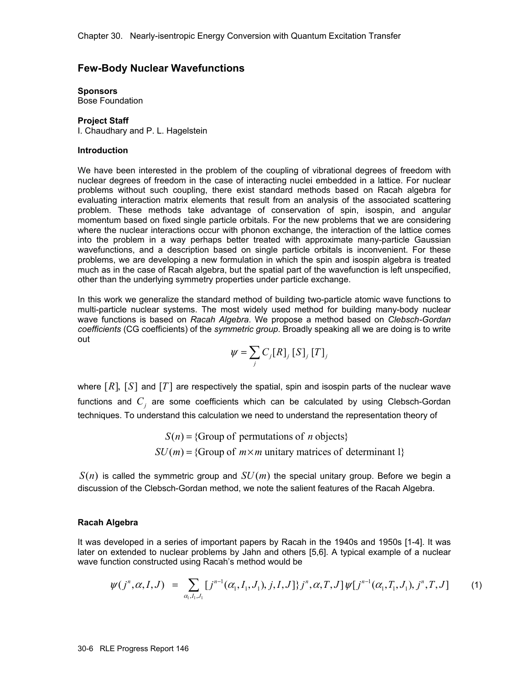## **Few-Body Nuclear Wavefunctions**

# **Sponsors**

Bose Foundation

### **Project Staff**

I. Chaudhary and P. L. Hagelstein

#### **Introduction**

We have been interested in the problem of the coupling of vibrational degrees of freedom with nuclear degrees of freedom in the case of interacting nuclei embedded in a lattice. For nuclear problems without such coupling, there exist standard methods based on Racah algebra for evaluating interaction matrix elements that result from an analysis of the associated scattering problem. These methods take advantage of conservation of spin, isospin, and angular momentum based on fixed single particle orbitals. For the new problems that we are considering where the nuclear interactions occur with phonon exchange, the interaction of the lattice comes into the problem in a way perhaps better treated with approximate many-particle Gaussian wavefunctions, and a description based on single particle orbitals is inconvenient. For these problems, we are developing a new formulation in which the spin and isospin algebra is treated much as in the case of Racah algebra, but the spatial part of the wavefunction is left unspecified, other than the underlying symmetry properties under particle exchange.

In this work we generalize the standard method of building two-particle atomic wave functions to multi-particle nuclear systems. The most widely used method for building many-body nuclear wave functions is based on *Racah Algebra*. We propose a method based on *Clebsch-Gordan coefficients* (CG coefficients) of the *symmetric group*. Broadly speaking all we are doing is to write out

$$
\psi = \sum_{j} C_{j}[R]_{j}[S]_{j}[T]_{j}
$$

where  $[R]$ ,  $[S]$  and  $[T]$  are respectively the spatial, spin and isospin parts of the nuclear wave functions and  $C<sub>i</sub>$  are some coefficients which can be calculated by using Clebsch-Gordan techniques. To understand this calculation we need to understand the representation theory of

> $S(n) = \{Group\ of\ permutations\ of\ n\ objects\}$  $SU(m) = \{Group\ of\ m\times m\ unitary\ matrices\ of\ determinant\ 1\}$

 $S(n)$  is called the symmetric group and  $SU(m)$  the special unitary group. Before we begin a discussion of the Clebsch-Gordan method, we note the salient features of the Racah Algebra.

### **Racah Algebra**

It was developed in a series of important papers by Racah in the 1940s and 1950s [1-4]. It was later on extended to nuclear problems by Jahn and others [5,6]. A typical example of a nuclear wave function constructed using Racah's method would be

$$
\psi(j^n, \alpha, I, J) = \sum_{\alpha_1, I_1, J_1} [j^{n-1}(\alpha_1, I_1, J_1), j, I, J] \} j^n, \alpha, T, J] \psi[j^{n-1}(\alpha_1, I_1, J_1), j^n, T, J] \tag{1}
$$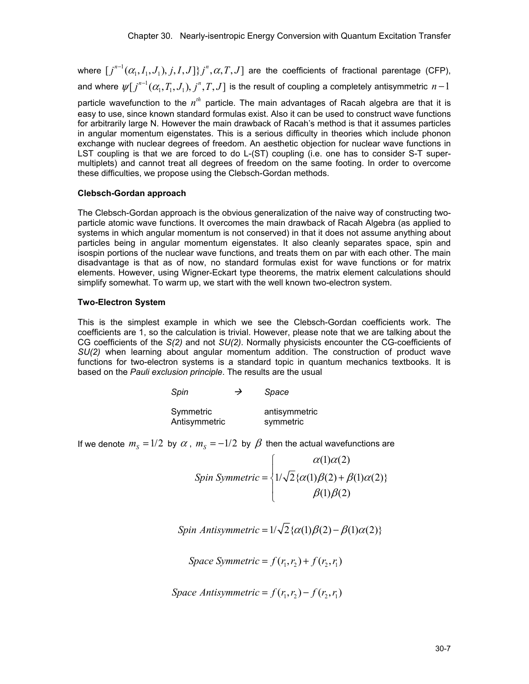where  $[j^{n-1}(\alpha_1,I_1,J_1),j,I,J]\}j^n,\alpha,T,J]$  are the coefficients of fractional parentage (CFP), and where  $\psi[j^{n-1}(\alpha_{_{\!1}},\!T_{_{\!1}},\!J_{_{\!1}}),j^n,\!T,J]$  is the result of coupling a completely antisymmetric  $n\!-\!1$ 

particle wavefunction to the  $n^{th}$  particle. The main advantages of Racah algebra are that it is easy to use, since known standard formulas exist. Also it can be used to construct wave functions for arbitrarily large N. However the main drawback of Racah's method is that it assumes particles in angular momentum eigenstates. This is a serious difficulty in theories which include phonon exchange with nuclear degrees of freedom. An aesthetic objection for nuclear wave functions in LST coupling is that we are forced to do L-(ST) coupling (i.e. one has to consider S-T supermultiplets) and cannot treat all degrees of freedom on the same footing. In order to overcome these difficulties, we propose using the Clebsch-Gordan methods.

## **Clebsch-Gordan approach**

The Clebsch-Gordan approach is the obvious generalization of the naive way of constructing twoparticle atomic wave functions. It overcomes the main drawback of Racah Algebra (as applied to systems in which angular momentum is not conserved) in that it does not assume anything about particles being in angular momentum eigenstates. It also cleanly separates space, spin and isospin portions of the nuclear wave functions, and treats them on par with each other. The main disadvantage is that as of now, no standard formulas exist for wave functions or for matrix elements. However, using Wigner-Eckart type theorems, the matrix element calculations should simplify somewhat. To warm up, we start with the well known two-electron system.

## **Two-Electron System**

This is the simplest example in which we see the Clebsch-Gordan coefficients work. The coefficients are 1, so the calculation is trivial. However, please note that we are talking about the CG coefficients of the *S(2)* and not *SU(2)*. Normally physicists encounter the CG-coefficients of *SU(2)* when learning about angular momentum addition. The construction of product wave functions for two-electron systems is a standard topic in quantum mechanics textbooks. It is based on the *Pauli exclusion principle*. The results are the usual

| Spin                       |  | Space                      |  |
|----------------------------|--|----------------------------|--|
| Symmetric<br>Antisymmetric |  | antisymmetric<br>symmetric |  |

If we denote  $m_s = 1/2$  by  $\alpha$ ,  $m_s = -1/2$  by  $\beta$  then the actual wavefunctions are

$$
Spin Symmetric = \begin{cases} \alpha(1)\alpha(2) \\ 1/\sqrt{2}\{\alpha(1)\beta(2) + \beta(1)\alpha(2)\} \\ \beta(1)\beta(2) \end{cases}
$$

Spin Antisymmetric =  $1/\sqrt{2} \{\alpha(1)\beta(2) - \beta(1)\alpha(2)\}\$ 

*Space Symmetric* =  $f(r_1, r_2) + f(r_2, r_1)$ 

$$
Space \text{ Antisymmetric} = f(r_1, r_2) - f(r_2, r_1)
$$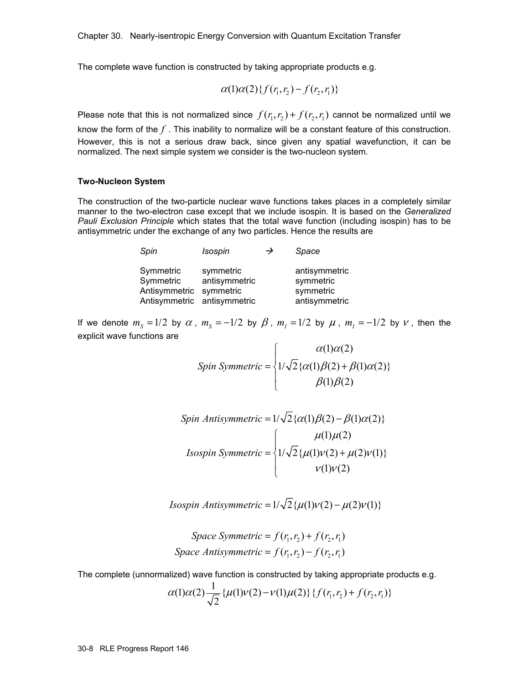The complete wave function is constructed by taking appropriate products e.g.

$$
\alpha(1)\alpha(2)\{f(r_1,r_2) - f(r_2,r_1)\}\
$$

Please note that this is not normalized since  $f(r_1,r_2) + f(r_2,r_1)$  cannot be normalized until we know the form of the *f* . This inability to normalize will be a constant feature of this construction. However, this is not a serious draw back, since given any spatial wavefunction, it can be normalized. The next simple system we consider is the two-nucleon system.

#### **Two-Nucleon System**

The construction of the two-particle nuclear wave functions takes places in a completely similar manner to the two-electron case except that we include isospin. It is based on the *Generalized Pauli Exclusion Principle* which states that the total wave function (including isospin) has to be antisymmetric under the exchange of any two particles. Hence the results are

| Spin                                                                             | Isospin                    | → | Space                                                    |
|----------------------------------------------------------------------------------|----------------------------|---|----------------------------------------------------------|
| Symmetric<br>Symmetric<br>Antisymmetric symmetric<br>Antisymmetric antisymmetric | symmetric<br>antisymmetric |   | antisymmetric<br>symmetric<br>symmetric<br>antisymmetric |

If we denote  $m_s = 1/2$  by  $\alpha$ ,  $m_s = -1/2$  by  $\beta$ ,  $m_l = 1/2$  by  $\mu$ ,  $m_l = -1/2$  by  $\nu$ , then the explicit wave functions are

$$
Spin Symmetric = \begin{cases} \alpha(1)\alpha(2) \\ 1/\sqrt{2}\{\alpha(1)\beta(2) + \beta(1)\alpha(2)\} \\ \beta(1)\beta(2) \end{cases}
$$

$$
Spin Antisymmetric = 1/\sqrt{2} \{\alpha(1)\beta(2) - \beta(1)\alpha(2)\}
$$
  

$$
Isospin Symmetric = \begin{cases} \mu(1)\mu(2) \\ 1/\sqrt{2} \{\mu(1)\nu(2) + \mu(2)\nu(1)\} \\ \nu(1)\nu(2) \end{cases}
$$

*Isospin Antisymmetric* =  $1/\sqrt{2} \{ \mu(1) \nu(2) - \mu(2) \nu(1) \}$ 

*Space Symmetric* =  $f(r_1, r_2) + f(r_2, r_1)$ Space Antisymmetric =  $f(r_1, r_2) - f(r_2, r_1)$ 

The complete (unnormalized) wave function is constructed by taking appropriate products e.g.

$$
\alpha(1)\alpha(2)\frac{1}{\sqrt{2}}\{\mu(1)\nu(2)-\nu(1)\mu(2)\}\{f(r_1,r_2)+f(r_2,r_1)\}\
$$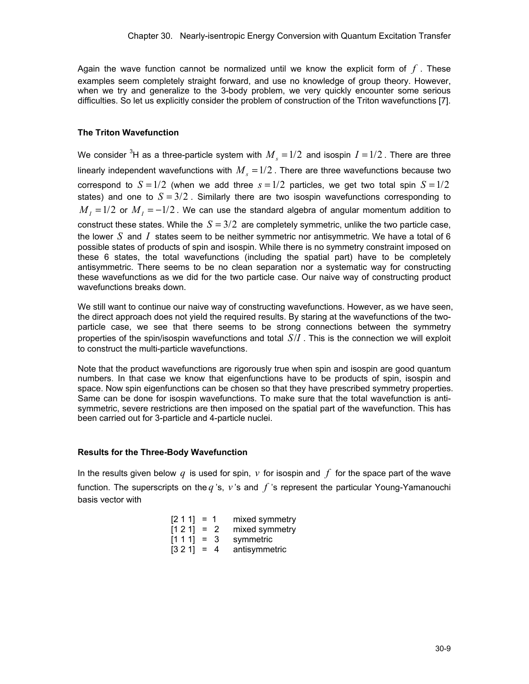Again the wave function cannot be normalized until we know the explicit form of *f* . These examples seem completely straight forward, and use no knowledge of group theory. However, when we try and generalize to the 3-body problem, we very quickly encounter some serious difficulties. So let us explicitly consider the problem of construction of the Triton wavefunctions [7].

### **The Triton Wavefunction**

We consider  $^3$ H as a three-particle system with  ${M}_{_S}\!=\!1/2\,$  and isospin  $I$   $=$   $\!1/2$  . There are three linearly independent wavefunctions with  $M_s = 1/2$ . There are three wavefunctions because two correspond to  $S = 1/2$  (when we add three  $s = 1/2$  particles, we get two total spin  $S = 1/2$ states) and one to  $S = 3/2$ . Similarly there are two isospin wavefunctions corresponding to  $M<sub>I</sub> = 1/2$  or  $M<sub>I</sub> = -1/2$ . We can use the standard algebra of angular momentum addition to construct these states. While the  $S = 3/2$  are completely symmetric, unlike the two particle case, the lower *S* and *I* states seem to be neither symmetric nor antisymmetric. We have a total of 6 possible states of products of spin and isospin. While there is no symmetry constraint imposed on these 6 states, the total wavefunctions (including the spatial part) have to be completely antisymmetric. There seems to be no clean separation nor a systematic way for constructing these wavefunctions as we did for the two particle case. Our naive way of constructing product wavefunctions breaks down.

We still want to continue our naive way of constructing wavefunctions. However, as we have seen, the direct approach does not yield the required results. By staring at the wavefunctions of the twoparticle case, we see that there seems to be strong connections between the symmetry properties of the spin/isospin wavefunctions and total *S I*/ . This is the connection we will exploit to construct the multi-particle wavefunctions.

Note that the product wavefunctions are rigorously true when spin and isospin are good quantum numbers. In that case we know that eigenfunctions have to be products of spin, isospin and space. Now spin eigenfunctions can be chosen so that they have prescribed symmetry properties. Same can be done for isospin wavefunctions. To make sure that the total wavefunction is antisymmetric, severe restrictions are then imposed on the spatial part of the wavefunction. This has been carried out for 3-particle and 4-particle nuclei.

## **Results for the Three-Body Wavefunction**

In the results given below  $q$  is used for spin,  $\nu$  for isospin and  $f$  for the space part of the wave function. The superscripts on the *q* 's, *v* 's and *f* 's represent the particular Young-Yamanouchi basis vector with

|  | $[2 1 1] = 1$ mixed symmetry |
|--|------------------------------|
|  | $[1 2 1] = 2$ mixed symmetry |
|  | $[1 1 1] = 3$ symmetric      |
|  | $[3 2 1] = 4$ antisymmetric  |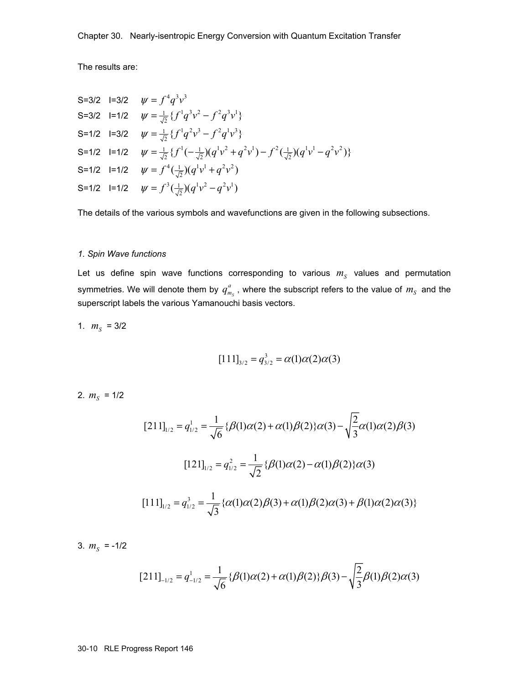The results are:

S=3/2 
$$
l=3/2
$$
  $\psi = f^4 q^3 v^3$   
\nS=3/2  $l=1/2$   $\psi = \frac{1}{\sqrt{2}} \{f^1 q^3 v^2 - f^2 q^3 v^1\}$   
\nS=1/2  $l=3/2$   $\psi = \frac{1}{\sqrt{2}} \{f^1 q^2 v^3 - f^2 q^1 v^3\}$   
\nS=1/2  $l=1/2$   $\psi = \frac{1}{\sqrt{2}} \{f^1(-\frac{1}{\sqrt{2}})(q^1 v^2 + q^2 v^1) - f^2(\frac{1}{\sqrt{2}})(q^1 v^1 - q^2 v^2)\}$   
\nS=1/2  $l=1/2$   $\psi = f^4(\frac{1}{\sqrt{2}})(q^1 v^1 + q^2 v^2)$   
\nS=1/2  $l=1/2$   $\psi = f^3(\frac{1}{\sqrt{2}})(q^1 v^2 - q^2 v^1)$ 

The details of the various symbols and wavefunctions are given in the following subsections.

#### *1. Spin Wave functions*

Let us define spin wave functions corresponding to various  $m<sub>S</sub>$  values and permutation symmetries. We will denote them by  $q_{m_S}^a$  , where the subscript refers to the value of  $m_{_S}$  and the superscript labels the various Yamanouchi basis vectors.

1.  $m_S = 3/2$ 

$$
[111]_{3/2} = q_{3/2}^3 = \alpha(1)\alpha(2)\alpha(3)
$$

2.  $m_S = 1/2$ 

$$
[211]_{1/2} = q_{1/2}^1 = \frac{1}{\sqrt{6}} \{ \beta(1)\alpha(2) + \alpha(1)\beta(2) \} \alpha(3) - \sqrt{\frac{2}{3}} \alpha(1)\alpha(2)\beta(3)
$$

$$
[121]_{1/2} = q_{1/2}^2 = \frac{1}{\sqrt{2}} \{ \beta(1)\alpha(2) - \alpha(1)\beta(2) \} \alpha(3)
$$

$$
[111]_{1/2} = q_{1/2}^3 = \frac{1}{\sqrt{3}} \{ \alpha(1)\alpha(2)\beta(3) + \alpha(1)\beta(2)\alpha(3) + \beta(1)\alpha(2)\alpha(3) \}
$$

3.  $m_S = -1/2$ 

$$
[211]_{-1/2} = q_{-1/2}^1 = \frac{1}{\sqrt{6}} {\beta(1)\alpha(2) + \alpha(1)\beta(2)}{\beta(3) - \sqrt{\frac{2}{3}\beta(1)\beta(2)\alpha(3)}}
$$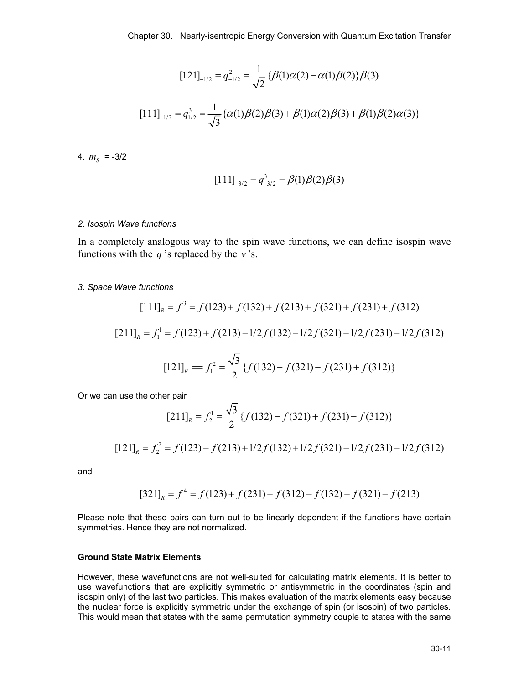$$
[121]_{-1/2} = q_{-1/2}^2 = \frac{1}{\sqrt{2}} \{ \beta(1)\alpha(2) - \alpha(1)\beta(2) \} \beta(3)
$$

$$
[111]_{-1/2} = q_{1/2}^3 = \frac{1}{\sqrt{3}} \{ \alpha(1)\beta(2)\beta(3) + \beta(1)\alpha(2)\beta(3) + \beta(1)\beta(2)\alpha(3) \}
$$

4.  $m_S = -3/2$ 

$$
[111]_{-3/2} = q_{-3/2}^3 = \beta(1)\beta(2)\beta(3)
$$

#### *2. Isospin Wave functions*

In a completely analogous way to the spin wave functions, we can define isospin wave functions with the *q* 's replaced by the *v* 's.

#### *3. Space Wave functions*

$$
[111]_R = f^3 = f(123) + f(132) + f(213) + f(321) + f(231) + f(312)
$$
  
\n
$$
[211]_R = f_1^1 = f(123) + f(213) - 1/2f(132) - 1/2f(321) - 1/2f(231) - 1/2f(312)
$$
  
\n
$$
[121]_R = f_1^2 = \frac{\sqrt{3}}{2} \{f(132) - f(321) - f(231) + f(312)\}
$$

Or we can use the other pair

$$
[211]_R = f_2^1 = \frac{\sqrt{3}}{2} \{f(132) - f(321) + f(231) - f(312)\}
$$

 $\overline{\phantom{0}}$ 

$$
[121]_R = f_2^2 = f(123) - f(213) + 1/2f(132) + 1/2f(321) - 1/2f(231) - 1/2f(312)
$$

and

$$
[321]_R = f^4 = f(123) + f(231) + f(312) - f(132) - f(321) - f(213)
$$

Please note that these pairs can turn out to be linearly dependent if the functions have certain symmetries. Hence they are not normalized.

### **Ground State Matrix Elements**

However, these wavefunctions are not well-suited for calculating matrix elements. It is better to use wavefunctions that are explicitly symmetric or antisymmetric in the coordinates (spin and isospin only) of the last two particles. This makes evaluation of the matrix elements easy because the nuclear force is explicitly symmetric under the exchange of spin (or isospin) of two particles. This would mean that states with the same permutation symmetry couple to states with the same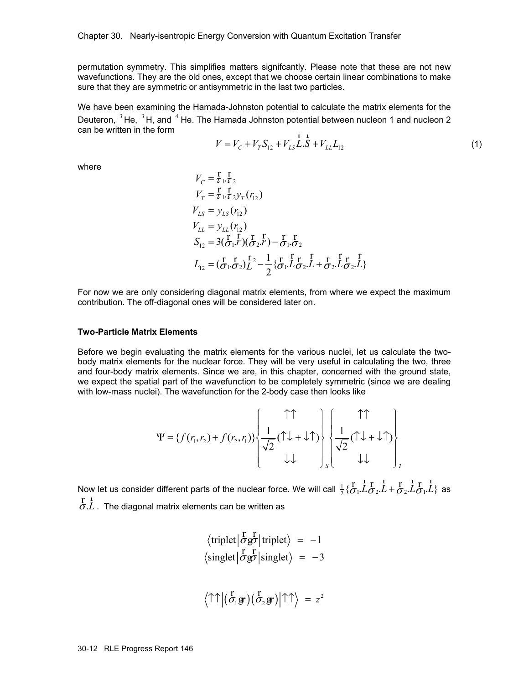permutation symmetry. This simplifies matters signifcantly. Please note that these are not new wavefunctions. They are the old ones, except that we choose certain linear combinations to make sure that they are symmetric or antisymmetric in the last two particles.

We have been examining the Hamada-Johnston potential to calculate the matrix elements for the Deuteron,  $3$  He,  $3$  H, and  $4$  He. The Hamada Johnston potential between nucleon 1 and nucleon 2 can be written in the form

$$
V = V_C + V_T S_{12} + V_{LS} L.S + V_{LL} L_{12}
$$
\n(1)

where

$$
V_C = \frac{1}{\tau_1} \frac{1}{\tau_2}
$$
  
\n
$$
V_T = \frac{1}{\tau_1} \frac{1}{\tau_2} y_T(r_{12})
$$
  
\n
$$
V_{LS} = y_{LS}(r_{12})
$$
  
\n
$$
V_{LL} = y_{LL}(r_{12})
$$
  
\n
$$
S_{12} = 3(\frac{1}{\sigma_1} \frac{1}{\sigma_2})(\frac{1}{\sigma_2} \frac{1}{\sigma_1}) - \frac{1}{\sigma_1} \frac{1}{\sigma_2}
$$
  
\n
$$
L_{12} = (\frac{1}{\sigma_1} \frac{1}{\sigma_2}) \frac{1}{\tau_2} - \frac{1}{2} \{\frac{1}{\sigma_1} \frac{1}{\tau_2} \frac{1}{\tau_2} + \frac{1}{\sigma_2} \frac{1}{\tau_2} \frac{1}{\tau_2} \frac{1}{\tau_2} \}
$$

For now we are only considering diagonal matrix elements, from where we expect the maximum contribution. The off-diagonal ones will be considered later on.

#### **Two-Particle Matrix Elements**

Before we begin evaluating the matrix elements for the various nuclei, let us calculate the twobody matrix elements for the nuclear force. They will be very useful in calculating the two, three and four-body matrix elements. Since we are, in this chapter, concerned with the ground state, we expect the spatial part of the wavefunction to be completely symmetric (since we are dealing with low-mass nuclei). The wavefunction for the 2-body case then looks like

$$
\Psi = \left\{ f(r_1, r_2) + f(r_2, r_1) \right\} \left\{ \frac{1}{\sqrt{2}} (\uparrow \downarrow + \downarrow \uparrow) \right\} \left\{ \frac{1}{\sqrt{2}} (\uparrow \downarrow + \downarrow \uparrow) \right\}
$$

Now let us consider different parts of the nuclear force. We will call  $\frac{1}{2}\{\bm{\dot{\sigma}}_1.L\bm{\dot{\sigma}}_2.L+\bm{\dot{\sigma}}_2.L\bm{\dot{\sigma}}_1.L\}$  $\frac{r}{2}$ ,  $\frac{1}{2}$   $\frac{r}{2}$ ,  $\frac{1}{2}$  +  $\frac{r}{2}$ ,  $\frac{1}{2}$   $\frac{r}{2}$ ,  $\frac{1}{2}$  as  $\sigma$ .*L*. The diagonal matrix elements can be written as

$$
\langle \text{triplet} | \frac{\partial^2 f}{\partial \mathcal{B}} | \text{triplet} \rangle = -1
$$
  

$$
\langle \text{singlet} | \frac{\partial^2 f}{\partial \mathcal{B}} | \text{singlet} \rangle = -3
$$

$$
\langle \uparrow \uparrow | (\stackrel{\Gamma}{\sigma_1} \mathbf{g} \cdot) (\stackrel{\Gamma}{\sigma_2} \mathbf{g} \cdot) | \uparrow \uparrow \rangle = z^2
$$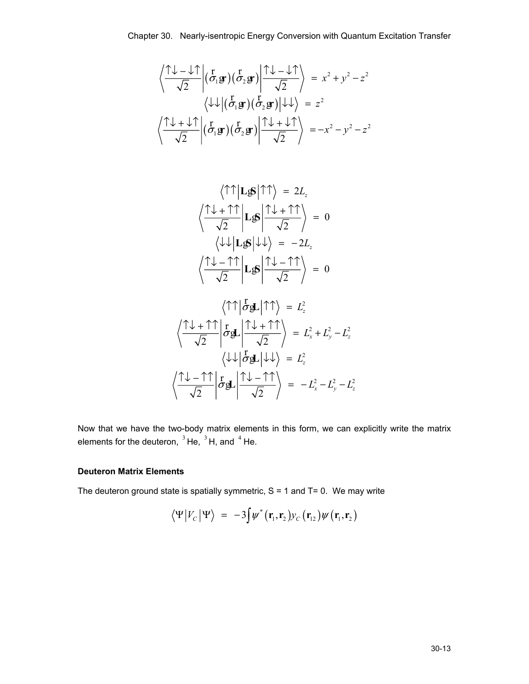$$
\left\langle \frac{\hat{T} \hat{\psi} - \hat{\psi} \hat{T}}{\sqrt{2}} \middle| (\vec{\sigma}_1 \mathbf{g} \hat{T}) (\vec{\sigma}_2 \mathbf{g} \hat{T}) \middle| \frac{\hat{T} \hat{\psi} - \hat{\psi} \hat{T}}{\sqrt{2}} \right\rangle = x^2 + y^2 - z^2
$$

$$
\left\langle \hat{\psi} \hat{\psi} \middle| (\vec{\sigma}_1 \mathbf{g} \hat{T}) (\vec{\sigma}_2 \mathbf{g} \hat{T}) \middle| \hat{\psi} \hat{\psi} \right\rangle = z^2
$$

$$
\left\langle \frac{\hat{T} \hat{\psi} + \hat{\psi} \hat{T}}{\sqrt{2}} \middle| (\vec{\sigma}_1 \mathbf{g} \hat{T}) (\vec{\sigma}_2 \mathbf{g} \hat{T}) \middle| \frac{\hat{T} \hat{\psi} + \hat{\psi} \hat{T}}{\sqrt{2}} \right\rangle = -x^2 - y^2 - z^2
$$

$$
\langle \uparrow \uparrow | \mathbf{L} \mathbf{S} | \uparrow \uparrow \rangle = 2L_z
$$

$$
\langle \frac{\uparrow \downarrow + \uparrow \uparrow}{\sqrt{2}} | \mathbf{L} \mathbf{S} | \frac{\uparrow \downarrow + \uparrow \uparrow}{\sqrt{2}} \rangle = 0
$$

$$
\langle \downarrow \downarrow | \mathbf{L} \mathbf{S} | \downarrow \downarrow \rangle = -2L_z
$$

$$
\langle \frac{\uparrow \downarrow - \uparrow \uparrow}{\sqrt{2}} | \mathbf{L} \mathbf{S} | \frac{\uparrow \downarrow - \uparrow \uparrow}{\sqrt{2}} \rangle = 0
$$

$$
\langle \uparrow \uparrow | \vec{\sigma} \mathbf{g} \mathbf{L} | \uparrow \uparrow \rangle = L_z^2
$$
  

$$
\langle \frac{\uparrow \downarrow + \uparrow \uparrow}{\sqrt{2}} | \vec{\sigma} \mathbf{g} \mathbf{L} | \frac{\uparrow \downarrow + \uparrow \uparrow}{\sqrt{2}} \rangle = L_x^2 + L_y^2 - L_z^2
$$
  

$$
\langle \downarrow \downarrow | \vec{\sigma} \mathbf{g} \mathbf{L} | \downarrow \downarrow \rangle = L_z^2
$$
  

$$
\langle \frac{\uparrow \downarrow - \uparrow \uparrow}{\sqrt{2}} | \vec{\sigma} \mathbf{g} \mathbf{L} | \frac{\uparrow \downarrow - \uparrow \uparrow}{\sqrt{2}} \rangle = -L_x^2 - L_y^2 - L_z^2
$$

Now that we have the two-body matrix elements in this form, we can explicitly write the matrix elements for the deuteron,  $3$  He,  $3$  H, and  $4$  He.

## **Deuteron Matrix Elements**

The deuteron ground state is spatially symmetric,  $S = 1$  and  $T = 0$ . We may write

$$
\langle \Psi | V_C | \Psi \rangle = -3 \int \psi^* (\mathbf{r}_1, \mathbf{r}_2) y_C (\mathbf{r}_{12}) \psi (\mathbf{r}_1, \mathbf{r}_2)
$$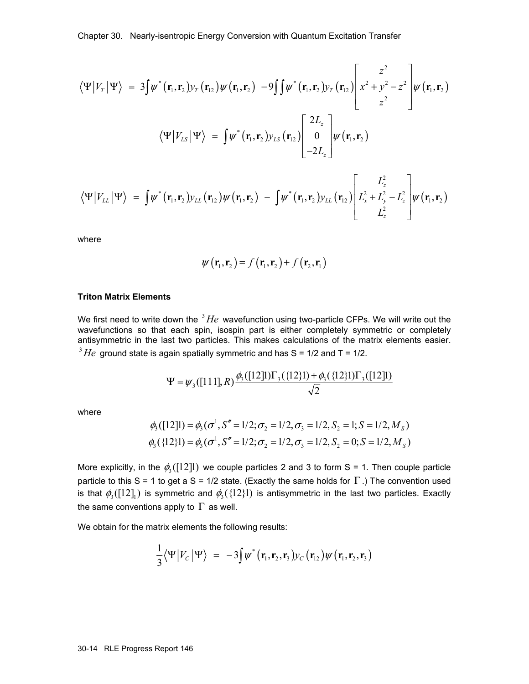$$
\langle \Psi | V_r | \Psi \rangle = 3 \int \psi^* (\mathbf{r}_1, \mathbf{r}_2) y_r (\mathbf{r}_{12}) \psi (\mathbf{r}_1, \mathbf{r}_2) - 9 \int \int \psi^* (\mathbf{r}_1, \mathbf{r}_2) y_r (\mathbf{r}_{12}) \left[ x^2 + y^2 - z^2 \right] \psi (\mathbf{r}_1, \mathbf{r}_2)
$$
  

$$
\langle \Psi | V_{LS} | \Psi \rangle = \int \psi^* (\mathbf{r}_1, \mathbf{r}_2) y_{LS} (\mathbf{r}_{12}) \left[ \begin{array}{c} 2L_z \\ 0 \\ -2L_z \end{array} \right] \psi (\mathbf{r}_1, \mathbf{r}_2)
$$

$$
\langle \Psi | V_{LL} | \Psi \rangle = \int \psi^* (\mathbf{r}_1, \mathbf{r}_2) y_{LL} (\mathbf{r}_{12}) \psi (\mathbf{r}_1, \mathbf{r}_2) - \int \psi^* (\mathbf{r}_1, \mathbf{r}_2) y_{LL} (\mathbf{r}_{12}) \left[ L_x^2 + L_y^2 - L_z^2 \right] \psi (\mathbf{r}_1, \mathbf{r}_2)
$$

where

$$
\psi(\mathbf{r}_1,\mathbf{r}_2)=f(\mathbf{r}_1,\mathbf{r}_2)+f(\mathbf{r}_2,\mathbf{r}_1)
$$

#### **Triton Matrix Elements**

We first need to write down the  ${}^{3}He$  wavefunction using two-particle CFPs. We will write out the wavefunctions so that each spin, isospin part is either completely symmetric or completely antisymmetric in the last two particles. This makes calculations of the matrix elements easier.  $3$   $He$  ground state is again spatially symmetric and has S = 1/2 and T = 1/2.

$$
\Psi = \psi_3([111], R) \frac{\phi_3([12]1)\Gamma_3(\{12\}1) + \phi_3(\{12\}1)\Gamma_3([12]1)}{\sqrt{2}}
$$

where

$$
\phi_3([12]1) = \phi_3(\sigma^1, S'' = 1/2; \sigma_2 = 1/2, \sigma_3 = 1/2, S_2 = 1; S = 1/2, M_S)
$$
  

$$
\phi_3(\{12\}1) = \phi_3(\sigma^1, S'' = 1/2; \sigma_2 = 1/2, \sigma_3 = 1/2, S_2 = 0; S = 1/2, M_S)
$$

More explicitly, in the  $\phi_3([12]1)$  we couple particles 2 and 3 to form S = 1. Then couple particle particle to this S = 1 to get a S = 1/2 state. (Exactly the same holds for  $\Gamma$ .) The convention used is that  $\phi_3([12]_1)$  is symmetric and  $\phi_3([12]_1)$  is antisymmetric in the last two particles. Exactly the same conventions apply to  $\Gamma$  as well.

We obtain for the matrix elements the following results:

$$
\frac{1}{3}\langle\Psi|V_C|\Psi\rangle = -3\int\psi^* (\mathbf{r}_1,\mathbf{r}_2,\mathbf{r}_3) y_C(\mathbf{r}_{12}) \psi(\mathbf{r}_1,\mathbf{r}_2,\mathbf{r}_3)
$$